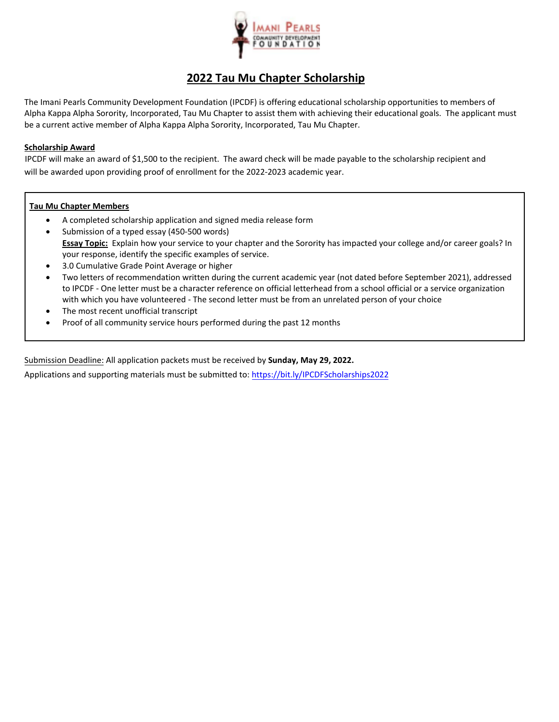

# **2022 Tau Mu Chapter Scholarship**

The Imani Pearls Community Development Foundation (IPCDF) is offering educational scholarship opportunities to members of Alpha Kappa Alpha Sorority, Incorporated, Tau Mu Chapter to assist them with achieving their educational goals. The applicant must be a current active member of Alpha Kappa Alpha Sorority, Incorporated, Tau Mu Chapter.

#### **Scholarship Award**

IPCDF will make an award of \$1,500 to the recipient. The award check will be made payable to the scholarship recipient and will be awarded upon providing proof of enrollment for the 2022-2023 academic year.

### **Tau Mu Chapter Members**

- A completed scholarship application and signed media release form
- Submission of a typed essay (450-500 words) **Essay Topic:** Explain how your service to your chapter and the Sorority has impacted your college and/or career goals? In your response, identify the specific examples of service.
- 3.0 Cumulative Grade Point Average or higher
- Two letters of recommendation written during the current academic year (not dated before September 2021), addressed to IPCDF - One letter must be a character reference on official letterhead from a school official or a service organization with which you have volunteered - The second letter must be from an unrelated person of your choice
- The most recent unofficial transcript
- Proof of all community service hours performed during the past 12 months

Submission Deadline: All application packets must be received by **Sunday, May 29, 2022.** 

Applications and supporting materials must be submitted to[: https://bit.ly/IPCDFScholarships2022](https://bit.ly/IPCDFScholarships2022)